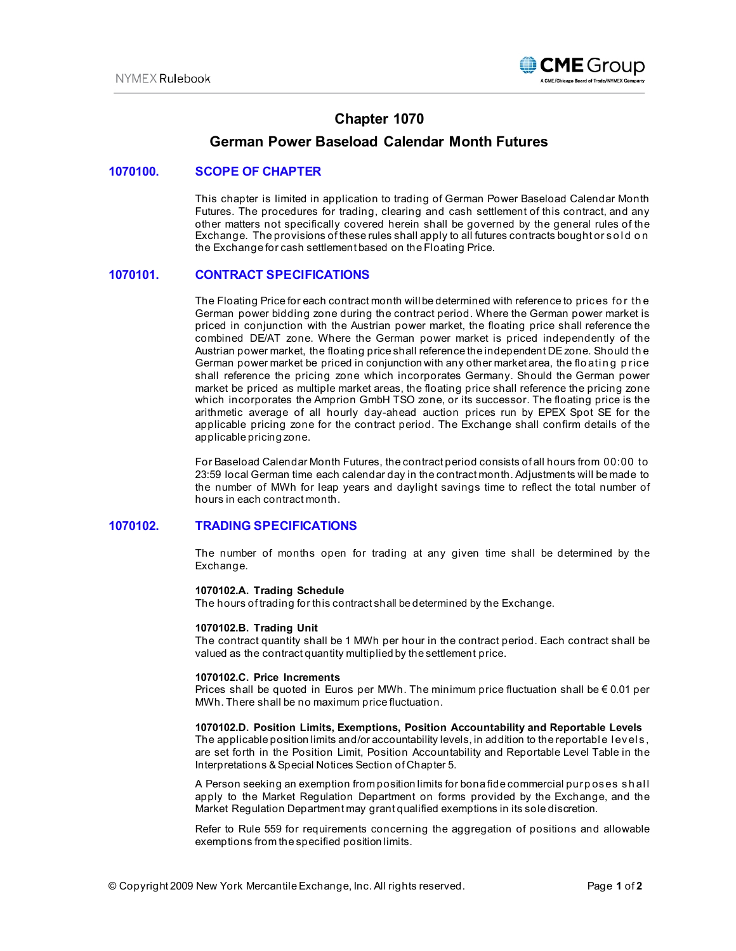

# **Chapter 1070**

# **German Power Baseload Calendar Month Futures**

## **1070100. SCOPE OF CHAPTER**

This chapter is limited in application to trading of German Power Baseload Calendar Month Futures. The procedures for trading, clearing and cash settlement of this contract, and any other matters not specifically covered herein shall be governed by the general rules of the Exchange. The provisions of these rules shall apply to all futures contracts bought or sold on the Exchange for cash settlement based on the Floating Price.

## **1070101. CONTRACT SPECIFICATIONS**

The Floating Price for each contract month will be determined with reference to prices for the German power bidding zone during the contract period. Where the German power market is priced in conjunction with the Austrian power market, the floating price shall reference the combined DE/AT zone. Where the German power market is priced independently of the Austrian power market, the floating price shall reference the independent DE zone. Should th e German power market be priced in conjunction with any other market area, the floating price shall reference the pricing zone which incorporates Germany. Should the German power market be priced as multiple market areas, the floating price shall reference the pricing zone which incorporates the Amprion GmbH TSO zone, or its successor. The floating price is the arithmetic average of all hourly day-ahead auction prices run by EPEX Spot SE for the applicable pricing zone for the contract period. The Exchange shall confirm details of the applicable pricing zone.

For Baseload Calendar Month Futures, the contract period consists of all hours from 00:00 to 23:59 local German time each calendar day in the contract month. Adjustments will be made to the number of MWh for leap years and daylight savings time to reflect the total number of hours in each contract month.

## **1070102. TRADING SPECIFICATIONS**

The number of months open for trading at any given time shall be determined by the Exchange.

### **1070102.A. Trading Schedule**

The hours of trading for this contract shall be determined by the Exchange.

#### **1070102.B. Trading Unit**

The contract quantity shall be 1 MWh per hour in the contract period. Each contract shall be valued as the contract quantity multiplied by the settlement price.

### **1070102.C. Price Increments**

Prices shall be quoted in Euros per MWh. The minimum price fluctuation shall be  $\epsilon$  0.01 per MWh. There shall be no maximum price fluctuation.

### **1070102.D. Position Limits, Exemptions, Position Accountability and Reportable Levels**

The applicable position limits and/or accountability levels, in addition to the reportable levels, are set forth in the Position Limit, Position Accountability and Reportable Level Table in the Interpretations & Special Notices Section of Chapter 5.

A Person seeking an exemption from position limits for bona fide commercial purp oses sh al l apply to the Market Regulation Department on forms provided by the Exchange, and the Market Regulation Department may grant qualified exemptions in its sole discretion.

Refer to Rule 559 for requirements concerning the aggregation of positions and allowable exemptions from the specified position limits.